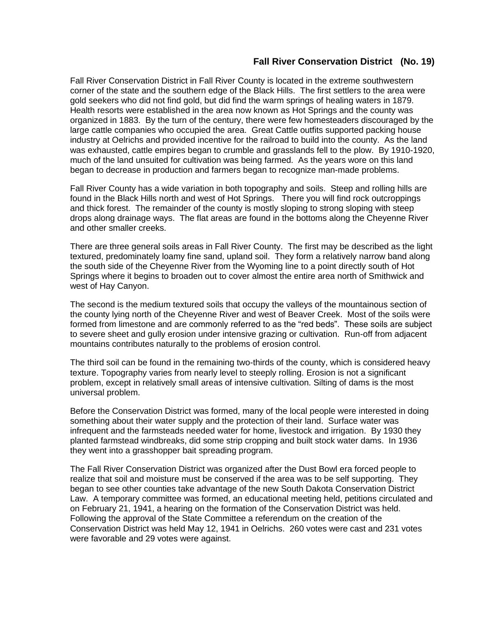## **Fall River Conservation District (No. 19)**

Fall River Conservation District in Fall River County is located in the extreme southwestern corner of the state and the southern edge of the Black Hills. The first settlers to the area were gold seekers who did not find gold, but did find the warm springs of healing waters in 1879. Health resorts were established in the area now known as Hot Springs and the county was organized in 1883. By the turn of the century, there were few homesteaders discouraged by the large cattle companies who occupied the area. Great Cattle outfits supported packing house industry at Oelrichs and provided incentive for the railroad to build into the county. As the land was exhausted, cattle empires began to crumble and grasslands fell to the plow. By 1910-1920, much of the land unsuited for cultivation was being farmed. As the years wore on this land began to decrease in production and farmers began to recognize man-made problems.

Fall River County has a wide variation in both topography and soils. Steep and rolling hills are found in the Black Hills north and west of Hot Springs. There you will find rock outcroppings and thick forest. The remainder of the county is mostly sloping to strong sloping with steep drops along drainage ways. The flat areas are found in the bottoms along the Cheyenne River and other smaller creeks.

There are three general soils areas in Fall River County. The first may be described as the light textured, predominately loamy fine sand, upland soil. They form a relatively narrow band along the south side of the Cheyenne River from the Wyoming line to a point directly south of Hot Springs where it begins to broaden out to cover almost the entire area north of Smithwick and west of Hay Canyon.

The second is the medium textured soils that occupy the valleys of the mountainous section of the county lying north of the Cheyenne River and west of Beaver Creek. Most of the soils were formed from limestone and are commonly referred to as the "red beds". These soils are subject to severe sheet and gully erosion under intensive grazing or cultivation. Run-off from adjacent mountains contributes naturally to the problems of erosion control.

The third soil can be found in the remaining two-thirds of the county, which is considered heavy texture. Topography varies from nearly level to steeply rolling. Erosion is not a significant problem, except in relatively small areas of intensive cultivation. Silting of dams is the most universal problem.

Before the Conservation District was formed, many of the local people were interested in doing something about their water supply and the protection of their land. Surface water was infrequent and the farmsteads needed water for home, livestock and irrigation. By 1930 they planted farmstead windbreaks, did some strip cropping and built stock water dams. In 1936 they went into a grasshopper bait spreading program.

The Fall River Conservation District was organized after the Dust Bowl era forced people to realize that soil and moisture must be conserved if the area was to be self supporting. They began to see other counties take advantage of the new South Dakota Conservation District Law. A temporary committee was formed, an educational meeting held, petitions circulated and on February 21, 1941, a hearing on the formation of the Conservation District was held. Following the approval of the State Committee a referendum on the creation of the Conservation District was held May 12, 1941 in Oelrichs. 260 votes were cast and 231 votes were favorable and 29 votes were against.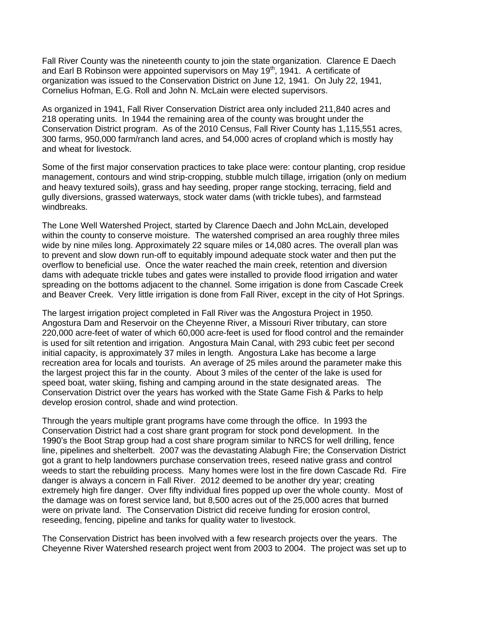Fall River County was the nineteenth county to join the state organization. Clarence E Daech and Earl B Robinson were appointed supervisors on May  $19<sup>th</sup>$ , 1941. A certificate of organization was issued to the Conservation District on June 12, 1941. On July 22, 1941, Cornelius Hofman, E.G. Roll and John N. McLain were elected supervisors.

As organized in 1941, Fall River Conservation District area only included 211,840 acres and 218 operating units. In 1944 the remaining area of the county was brought under the Conservation District program. As of the 2010 Census, Fall River County has 1,115,551 acres, 300 farms, 950,000 farm/ranch land acres, and 54,000 acres of cropland which is mostly hay and wheat for livestock.

Some of the first major conservation practices to take place were: contour planting, crop residue management, contours and wind strip-cropping, stubble mulch tillage, irrigation (only on medium and heavy textured soils), grass and hay seeding, proper range stocking, terracing, field and gully diversions, grassed waterways, stock water dams (with trickle tubes), and farmstead windbreaks.

The Lone Well Watershed Project, started by Clarence Daech and John McLain, developed within the county to conserve moisture. The watershed comprised an area roughly three miles wide by nine miles long. Approximately 22 square miles or 14,080 acres. The overall plan was to prevent and slow down run-off to equitably impound adequate stock water and then put the overflow to beneficial use. Once the water reached the main creek, retention and diversion dams with adequate trickle tubes and gates were installed to provide flood irrigation and water spreading on the bottoms adjacent to the channel. Some irrigation is done from Cascade Creek and Beaver Creek. Very little irrigation is done from Fall River, except in the city of Hot Springs.

The largest irrigation project completed in Fall River was the Angostura Project in 1950. Angostura Dam and Reservoir on the Cheyenne River, a Missouri River tributary, can store 220,000 acre-feet of water of which 60,000 acre-feet is used for flood control and the remainder is used for silt retention and irrigation. Angostura Main Canal, with 293 cubic feet per second initial capacity, is approximately 37 miles in length. Angostura Lake has become a large recreation area for locals and tourists. An average of 25 miles around the parameter make this the largest project this far in the county. About 3 miles of the center of the lake is used for speed boat, water skiing, fishing and camping around in the state designated areas. The Conservation District over the years has worked with the State Game Fish & Parks to help develop erosion control, shade and wind protection.

Through the years multiple grant programs have come through the office. In 1993 the Conservation District had a cost share grant program for stock pond development. In the 1990's the Boot Strap group had a cost share program similar to NRCS for well drilling, fence line, pipelines and shelterbelt. 2007 was the devastating Alabugh Fire; the Conservation District got a grant to help landowners purchase conservation trees, reseed native grass and control weeds to start the rebuilding process. Many homes were lost in the fire down Cascade Rd. Fire danger is always a concern in Fall River. 2012 deemed to be another dry year; creating extremely high fire danger. Over fifty individual fires popped up over the whole county. Most of the damage was on forest service land, but 8,500 acres out of the 25,000 acres that burned were on private land. The Conservation District did receive funding for erosion control, reseeding, fencing, pipeline and tanks for quality water to livestock.

The Conservation District has been involved with a few research projects over the years. The Cheyenne River Watershed research project went from 2003 to 2004. The project was set up to